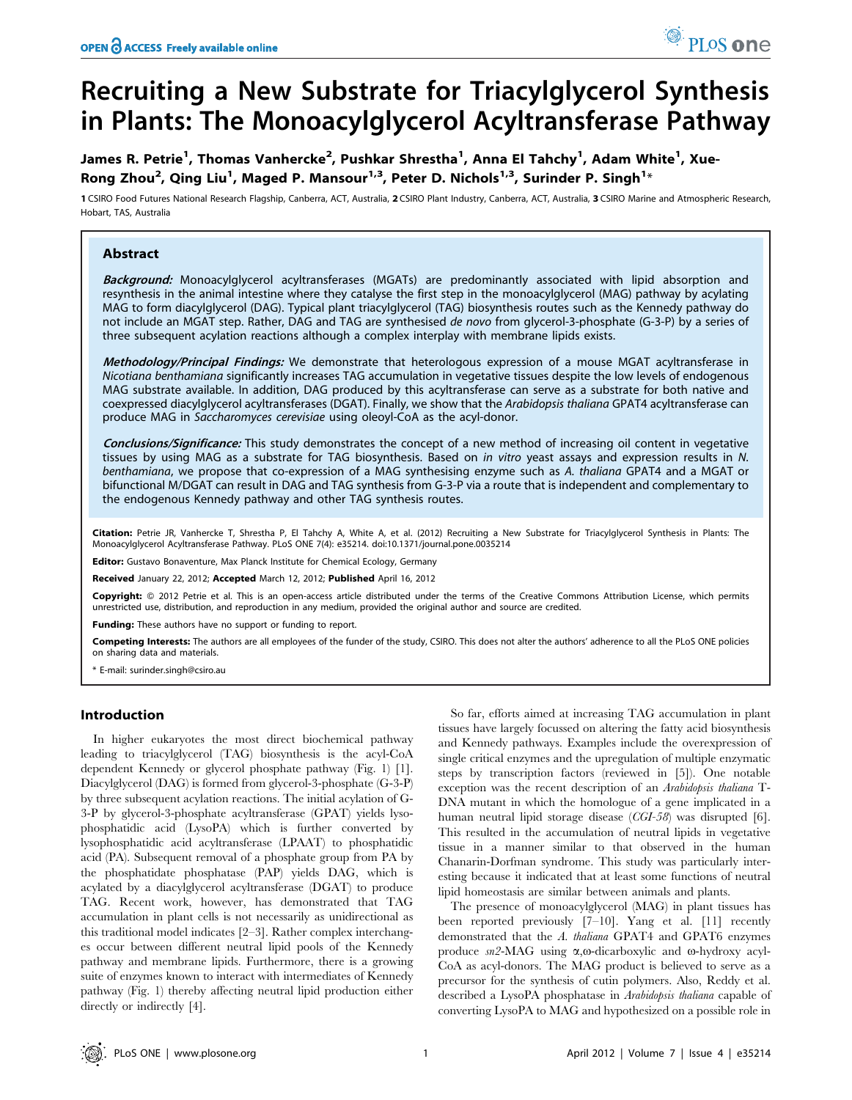# Recruiting a New Substrate for Triacylglycerol Synthesis in Plants: The Monoacylglycerol Acyltransferase Pathway

# James R. Petrie<sup>1</sup>, Thomas Vanhercke<sup>2</sup>, Pushkar Shrestha<sup>1</sup>, Anna El Tahchy<sup>1</sup>, Adam White<sup>1</sup>, Xue-Rong Zhou<sup>2</sup>, Qing Liu<sup>1</sup>, Maged P. Mansour<sup>1,3</sup>, Peter D. Nichols<sup>1,3</sup>, Surinder P. Singh<sup>1</sup>\*

1 CSIRO Food Futures National Research Flagship, Canberra, ACT, Australia, 2 CSIRO Plant Industry, Canberra, ACT, Australia, 3 CSIRO Marine and Atmospheric Research, Hobart, TAS, Australia

# Abstract

Background: Monoacylglycerol acyltransferases (MGATs) are predominantly associated with lipid absorption and resynthesis in the animal intestine where they catalyse the first step in the monoacylglycerol (MAG) pathway by acylating MAG to form diacylglycerol (DAG). Typical plant triacylglycerol (TAG) biosynthesis routes such as the Kennedy pathway do not include an MGAT step. Rather, DAG and TAG are synthesised de novo from glycerol-3-phosphate (G-3-P) by a series of three subsequent acylation reactions although a complex interplay with membrane lipids exists.

Methodology/Principal Findings: We demonstrate that heterologous expression of a mouse MGAT acyltransferase in Nicotiana benthamiana significantly increases TAG accumulation in vegetative tissues despite the low levels of endogenous MAG substrate available. In addition, DAG produced by this acyltransferase can serve as a substrate for both native and coexpressed diacylglycerol acyltransferases (DGAT). Finally, we show that the Arabidopsis thaliana GPAT4 acyltransferase can produce MAG in Saccharomyces cerevisiae using oleoyl-CoA as the acyl-donor.

Conclusions/Significance: This study demonstrates the concept of a new method of increasing oil content in vegetative tissues by using MAG as a substrate for TAG biosynthesis. Based on in vitro yeast assays and expression results in N. benthamiana, we propose that co-expression of a MAG synthesising enzyme such as A. thaliana GPAT4 and a MGAT or bifunctional M/DGAT can result in DAG and TAG synthesis from G-3-P via a route that is independent and complementary to the endogenous Kennedy pathway and other TAG synthesis routes.

Citation: Petrie JR, Vanhercke T, Shrestha P, El Tahchy A, White A, et al. (2012) Recruiting a New Substrate for Triacylglycerol Synthesis in Plants: The Monoacylglycerol Acyltransferase Pathway. PLoS ONE 7(4): e35214. doi:10.1371/journal.pone.0035214

**Editor:** Gustavo Bonaventure, Max Planck Institute for Chemical Ecology, Germany

Received January 22, 2012; Accepted March 12, 2012; Published April 16, 2012

Copyright: © 2012 Petrie et al. This is an open-access article distributed under the terms of the Creative Commons Attribution License, which permits unrestricted use, distribution, and reproduction in any medium, provided the original author and source are credited.

Funding: These authors have no support or funding to report.

Competing Interests: The authors are all employees of the funder of the study, CSIRO. This does not alter the authors' adherence to all the PLoS ONE policies on sharing data and materials.

\* E-mail: surinder.singh@csiro.au

# Introduction

In higher eukaryotes the most direct biochemical pathway leading to triacylglycerol (TAG) biosynthesis is the acyl-CoA dependent Kennedy or glycerol phosphate pathway (Fig. 1) [1]. Diacylglycerol (DAG) is formed from glycerol-3-phosphate (G-3-P) by three subsequent acylation reactions. The initial acylation of G-3-P by glycerol-3-phosphate acyltransferase (GPAT) yields lysophosphatidic acid (LysoPA) which is further converted by lysophosphatidic acid acyltransferase (LPAAT) to phosphatidic acid (PA). Subsequent removal of a phosphate group from PA by the phosphatidate phosphatase (PAP) yields DAG, which is acylated by a diacylglycerol acyltransferase (DGAT) to produce TAG. Recent work, however, has demonstrated that TAG accumulation in plant cells is not necessarily as unidirectional as this traditional model indicates [2–3]. Rather complex interchanges occur between different neutral lipid pools of the Kennedy pathway and membrane lipids. Furthermore, there is a growing suite of enzymes known to interact with intermediates of Kennedy pathway (Fig. 1) thereby affecting neutral lipid production either directly or indirectly [4].

So far, efforts aimed at increasing TAG accumulation in plant tissues have largely focussed on altering the fatty acid biosynthesis and Kennedy pathways. Examples include the overexpression of single critical enzymes and the upregulation of multiple enzymatic steps by transcription factors (reviewed in [5]). One notable exception was the recent description of an Arabidopsis thaliana T-DNA mutant in which the homologue of a gene implicated in a human neutral lipid storage disease (CGI-58) was disrupted [6]. This resulted in the accumulation of neutral lipids in vegetative tissue in a manner similar to that observed in the human Chanarin-Dorfman syndrome. This study was particularly interesting because it indicated that at least some functions of neutral lipid homeostasis are similar between animals and plants.

The presence of monoacylglycerol (MAG) in plant tissues has been reported previously [7–10]. Yang et al. [11] recently demonstrated that the A. thaliana GPAT4 and GPAT6 enzymes produce  $sn2\text{-}MAG$  using  $\alpha$ , $\omega$ -dicarboxylic and  $\omega$ -hydroxy acyl-CoA as acyl-donors. The MAG product is believed to serve as a precursor for the synthesis of cutin polymers. Also, Reddy et al. described a LysoPA phosphatase in Arabidopsis thaliana capable of converting LysoPA to MAG and hypothesized on a possible role in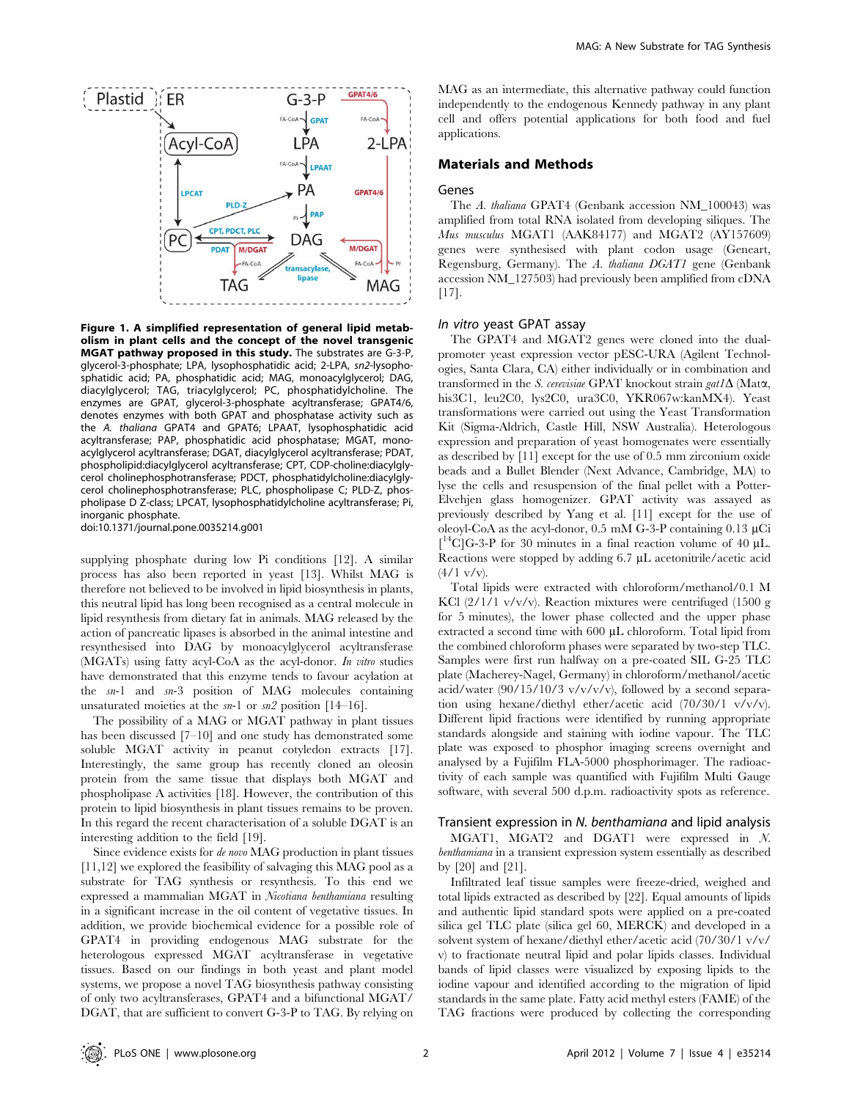

Figure 1. A simplified representation of general lipid metabolism in plant cells and the concept of the novel transgenic MGAT pathway proposed in this study. The substrates are G-3-P, glycerol-3-phosphate; LPA, lysophosphatidic acid; 2-LPA, sn2-lysophosphatidic acid; PA, phosphatidic acid; MAG, monoacylglycerol; DAG, diacylglycerol; TAG, triacylglycerol; PC, phosphatidylcholine. The enzymes are GPAT, glycerol-3-phosphate acyltransferase; GPAT4/6, denotes enzymes with both GPAT and phosphatase activity such as the A. thaliana GPAT4 and GPAT6; LPAAT, lysophosphatidic acid acyltransferase; PAP, phosphatidic acid phosphatase; MGAT, monoacylglycerol acyltransferase; DGAT, diacylglycerol acyltransferase; PDAT, phospholipid:diacylglycerol acyltransferase; CPT, CDP-choline:diacylglycerol cholinephosphotransferase; PDCT, phosphatidylcholine:diacylglycerol cholinephosphotransferase; PLC, phospholipase C; PLD-Z, phospholipase D Z-class; LPCAT, lysophosphatidylcholine acyltransferase; Pi, inorganic phosphate.

doi:10.1371/journal.pone.0035214.g001

supplying phosphate during low Pi conditions [12]. A similar process has also been reported in yeast [13]. Whilst MAG is therefore not believed to be involved in lipid biosynthesis in plants, this neutral lipid has long been recognised as a central molecule in lipid resynthesis from dietary fat in animals. MAG released by the action of pancreatic lipases is absorbed in the animal intestine and resynthesised into DAG by monoacylglycerol acyltransferase (MGATs) using fatty acyl-CoA as the acyl-donor. In vitro studies have demonstrated that this enzyme tends to favour acylation at the sn-1 and sn-3 position of MAG molecules containing unsaturated moieties at the  $sn-1$  or  $sn2$  position [14–16].

The possibility of a MAG or MGAT pathway in plant tissues has been discussed [7–10] and one study has demonstrated some soluble MGAT activity in peanut cotyledon extracts [17]. Interestingly, the same group has recently cloned an oleosin protein from the same tissue that displays both MGAT and phospholipase A activities [18]. However, the contribution of this protein to lipid biosynthesis in plant tissues remains to be proven. In this regard the recent characterisation of a soluble DGAT is an interesting addition to the field [19].

Since evidence exists for de novo MAG production in plant tissues [11,12] we explored the feasibility of salvaging this MAG pool as a substrate for TAG synthesis or resynthesis. To this end we expressed a mammalian MGAT in Nicotiana benthamiana resulting in a significant increase in the oil content of vegetative tissues. In addition, we provide biochemical evidence for a possible role of GPAT4 in providing endogenous MAG substrate for the heterologous expressed MGAT acyltransferase in vegetative tissues. Based on our findings in both yeast and plant model systems, we propose a novel TAG biosynthesis pathway consisting of only two acyltransferases, GPAT4 and a bifunctional MGAT/ DGAT, that are sufficient to convert G-3-P to TAG. By relying on MAG as an intermediate, this alternative pathway could function independently to the endogenous Kennedy pathway in any plant cell and offers potential applications for both food and fuel applications.

# Materials and Methods

#### Genes

The A. thaliana GPAT4 (Genbank accession NM\_100043) was amplified from total RNA isolated from developing siliques. The Mus musculus MGAT1 (AAK84177) and MGAT2 (AY157609) genes were synthesised with plant codon usage (Geneart, Regensburg, Germany). The A. thaliana DGAT1 gene (Genbank accession NM\_127503) had previously been amplified from cDNA [17].

#### In vitro yeast GPAT assay

The GPAT4 and MGAT2 genes were cloned into the dualpromoter yeast expression vector pESC-URA (Agilent Technologies, Santa Clara, CA) either individually or in combination and transformed in the S. cerevisiae GPAT knockout strain gat1 $\Delta$  (Mat $\alpha$ , his3C1, leu2C0, lys2C0, ura3C0, YKR067w:kanMX4). Yeast transformations were carried out using the Yeast Transformation Kit (Sigma-Aldrich, Castle Hill, NSW Australia). Heterologous expression and preparation of yeast homogenates were essentially as described by [11] except for the use of 0.5 mm zirconium oxide beads and a Bullet Blender (Next Advance, Cambridge, MA) to lyse the cells and resuspension of the final pellet with a Potter-Elvehjen glass homogenizer. GPAT activity was assayed as previously described by Yang et al. [11] except for the use of oleoyl-CoA as the acyl-donor,  $0.5 \text{ mM } G$ -3-P containing  $0.13 \mu\text{Ci}$  $[$ <sup>14</sup>C]G-3-P for 30 minutes in a final reaction volume of 40  $\mu$ L. Reactions were stopped by adding  $6.7 \mu L$  acetonitrile/acetic acid  $(4/1 \text{ v/v}).$ 

Total lipids were extracted with chloroform/methanol/0.1 M KCl  $(2/1/1 \text{ v/v/v})$ . Reaction mixtures were centrifuged  $(1500 \text{ g})$ for 5 minutes), the lower phase collected and the upper phase extracted a second time with 600 µL chloroform. Total lipid from the combined chloroform phases were separated by two-step TLC. Samples were first run halfway on a pre-coated SIL G-25 TLC plate (Macherey-Nagel, Germany) in chloroform/methanol/acetic acid/water (90/15/10/3 v/v/v/v), followed by a second separation using hexane/diethyl ether/acetic acid (70/30/1 v/v/v). Different lipid fractions were identified by running appropriate standards alongside and staining with iodine vapour. The TLC plate was exposed to phosphor imaging screens overnight and analysed by a Fujifilm FLA-5000 phosphorimager. The radioactivity of each sample was quantified with Fujifilm Multi Gauge software, with several 500 d.p.m. radioactivity spots as reference.

#### Transient expression in N. benthamiana and lipid analysis

MGAT1, MGAT2 and DGAT1 were expressed in N. benthamiana in a transient expression system essentially as described by [20] and [21].

Infiltrated leaf tissue samples were freeze-dried, weighed and total lipids extracted as described by [22]. Equal amounts of lipids and authentic lipid standard spots were applied on a pre-coated silica gel TLC plate (silica gel 60, MERCK) and developed in a solvent system of hexane/diethyl ether/acetic acid (70/30/1 v/v/ v) to fractionate neutral lipid and polar lipids classes. Individual bands of lipid classes were visualized by exposing lipids to the iodine vapour and identified according to the migration of lipid standards in the same plate. Fatty acid methyl esters (FAME) of the TAG fractions were produced by collecting the corresponding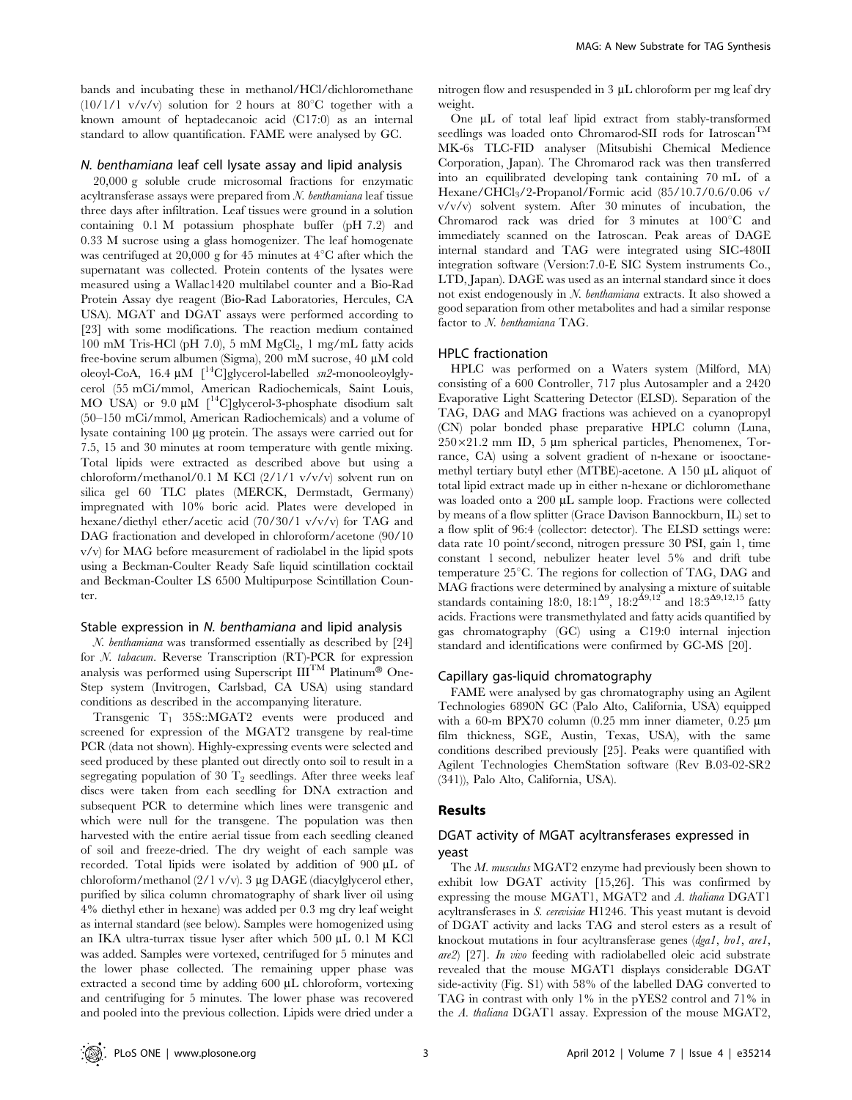bands and incubating these in methanol/HCl/dichloromethane (10/1/1 v/v/v) solution for 2 hours at 80 $^{\circ}$ C together with a known amount of heptadecanoic acid (C17:0) as an internal standard to allow quantification. FAME were analysed by GC.

# N. benthamiana leaf cell lysate assay and lipid analysis

20,000 g soluble crude microsomal fractions for enzymatic acyltransferase assays were prepared from N. benthamiana leaf tissue three days after infiltration. Leaf tissues were ground in a solution containing 0.1 M potassium phosphate buffer (pH 7.2) and 0.33 M sucrose using a glass homogenizer. The leaf homogenate was centrifuged at 20,000 g for 45 minutes at  $4^{\circ}$ C after which the supernatant was collected. Protein contents of the lysates were measured using a Wallac1420 multilabel counter and a Bio-Rad Protein Assay dye reagent (Bio-Rad Laboratories, Hercules, CA USA). MGAT and DGAT assays were performed according to [23] with some modifications. The reaction medium contained  $100$  mM Tris-HCl (pH 7.0), 5 mM MgCl<sub>2</sub>, 1 mg/mL fatty acids free-bovine serum albumen (Sigma), 200 mM sucrose, 40 µM cold oleoyl-CoA,  $16.4 \mu M$  [<sup>14</sup>C]glycerol-labelled  $m2$ -monooleoylglycerol (55 mCi/mmol, American Radiochemicals, Saint Louis, MO USA) or 9.0  $\mu$ M  $\int$ <sup>14</sup>C]glycerol-3-phosphate disodium salt (50–150 mCi/mmol, American Radiochemicals) and a volume of lysate containing 100 µg protein. The assays were carried out for 7.5, 15 and 30 minutes at room temperature with gentle mixing. Total lipids were extracted as described above but using a chloroform/methanol/0.1 M KCl (2/1/1 v/v/v) solvent run on silica gel 60 TLC plates (MERCK, Dermstadt, Germany) impregnated with 10% boric acid. Plates were developed in hexane/diethyl ether/acetic acid (70/30/1 v/v/v) for TAG and DAG fractionation and developed in chloroform/acetone (90/10 v/v) for MAG before measurement of radiolabel in the lipid spots using a Beckman-Coulter Ready Safe liquid scintillation cocktail and Beckman-Coulter LS 6500 Multipurpose Scintillation Counter.

#### Stable expression in N. benthamiana and lipid analysis

N. benthamiana was transformed essentially as described by [24] for N. tabacum. Reverse Transcription (RT)-PCR for expression analysis was performed using Superscript  $III^{TM}$  Platinum® One-Step system (Invitrogen, Carlsbad, CA USA) using standard conditions as described in the accompanying literature.

Transgenic  $T_1$  35S::MGAT2 events were produced and screened for expression of the MGAT2 transgene by real-time PCR (data not shown). Highly-expressing events were selected and seed produced by these planted out directly onto soil to result in a segregating population of 30  $T_2$  seedlings. After three weeks leaf discs were taken from each seedling for DNA extraction and subsequent PCR to determine which lines were transgenic and which were null for the transgene. The population was then harvested with the entire aerial tissue from each seedling cleaned of soil and freeze-dried. The dry weight of each sample was recorded. Total lipids were isolated by addition of 900 µL of chloroform/methanol  $(2/1 \text{ v/v})$ . 3 µg DAGE (diacylglycerol ether, purified by silica column chromatography of shark liver oil using 4% diethyl ether in hexane) was added per 0.3 mg dry leaf weight as internal standard (see below). Samples were homogenized using an IKA ultra-turrax tissue lyser after which 500 µL 0.1 M KCl was added. Samples were vortexed, centrifuged for 5 minutes and the lower phase collected. The remaining upper phase was extracted a second time by adding 600 µL chloroform, vortexing and centrifuging for 5 minutes. The lower phase was recovered and pooled into the previous collection. Lipids were dried under a

nitrogen flow and resuspended in  $3 \mu$ L chloroform per mg leaf dry weight.

One  $\mu$ L of total leaf lipid extract from stably-transformed seedlings was loaded onto Chromarod-SII rods for Iatroscan<sup>TM</sup> MK-6s TLC-FID analyser (Mitsubishi Chemical Medience Corporation, Japan). The Chromarod rack was then transferred into an equilibrated developing tank containing 70 mL of a Hexane/CHCl3/2-Propanol/Formic acid (85/10.7/0.6/0.06 v/ v/v/v) solvent system. After 30 minutes of incubation, the Chromarod rack was dried for 3 minutes at  $100^{\circ}$ C and immediately scanned on the Iatroscan. Peak areas of DAGE internal standard and TAG were integrated using SIC-480II integration software (Version:7.0-E SIC System instruments Co., LTD, Japan). DAGE was used as an internal standard since it does not exist endogenously in N. benthamiana extracts. It also showed a good separation from other metabolites and had a similar response factor to N. benthamiana TAG.

#### HPLC fractionation

HPLC was performed on a Waters system (Milford, MA) consisting of a 600 Controller, 717 plus Autosampler and a 2420 Evaporative Light Scattering Detector (ELSD). Separation of the TAG, DAG and MAG fractions was achieved on a cyanopropyl (CN) polar bonded phase preparative HPLC column (Luna,  $250\times21.2$  mm ID, 5 µm spherical particles, Phenomenex, Torrance, CA) using a solvent gradient of n-hexane or isooctanemethyl tertiary butyl ether (MTBE)-acetone. A 150 µL aliquot of total lipid extract made up in either n-hexane or dichloromethane was loaded onto a 200 µL sample loop. Fractions were collected by means of a flow splitter (Grace Davison Bannockburn, IL) set to a flow split of 96:4 (collector: detector). The ELSD settings were: data rate 10 point/second, nitrogen pressure 30 PSI, gain 1, time constant 1 second, nebulizer heater level 5% and drift tube temperature  $25^{\circ}$ C. The regions for collection of TAG, DAG and MAG fractions were determined by analysing a mixture of suitable standards containing 18:0,  $18:1^{\Delta 9}$ ,  $18:2^{\Delta 9,12}$  and  $18:3^{\Delta 9,12,15}$  fatty acids. Fractions were transmethylated and fatty acids quantified by gas chromatography (GC) using a C19:0 internal injection standard and identifications were confirmed by GC-MS [20].

#### Capillary gas-liquid chromatography

FAME were analysed by gas chromatography using an Agilent Technologies 6890N GC (Palo Alto, California, USA) equipped with a 60-m BPX70 column  $(0.25 \text{ mm})$  inner diameter,  $0.25 \text{ }\mu\text{m}$ film thickness, SGE, Austin, Texas, USA), with the same conditions described previously [25]. Peaks were quantified with Agilent Technologies ChemStation software (Rev B.03-02-SR2 (341)), Palo Alto, California, USA).

### Results

# DGAT activity of MGAT acyltransferases expressed in yeast

The M. musculus MGAT2 enzyme had previously been shown to exhibit low DGAT activity [15,26]. This was confirmed by expressing the mouse MGAT1, MGAT2 and A. thaliana DGAT1 acyltransferases in S. cerevisiae H1246. This yeast mutant is devoid of DGAT activity and lacks TAG and sterol esters as a result of knockout mutations in four acyltransferase genes (dga1, lro1, are1, are2) [27]. In vivo feeding with radiolabelled oleic acid substrate revealed that the mouse MGAT1 displays considerable DGAT side-activity (Fig. S1) with 58% of the labelled DAG converted to TAG in contrast with only 1% in the pYES2 control and 71% in the A. thaliana DGAT1 assay. Expression of the mouse MGAT2,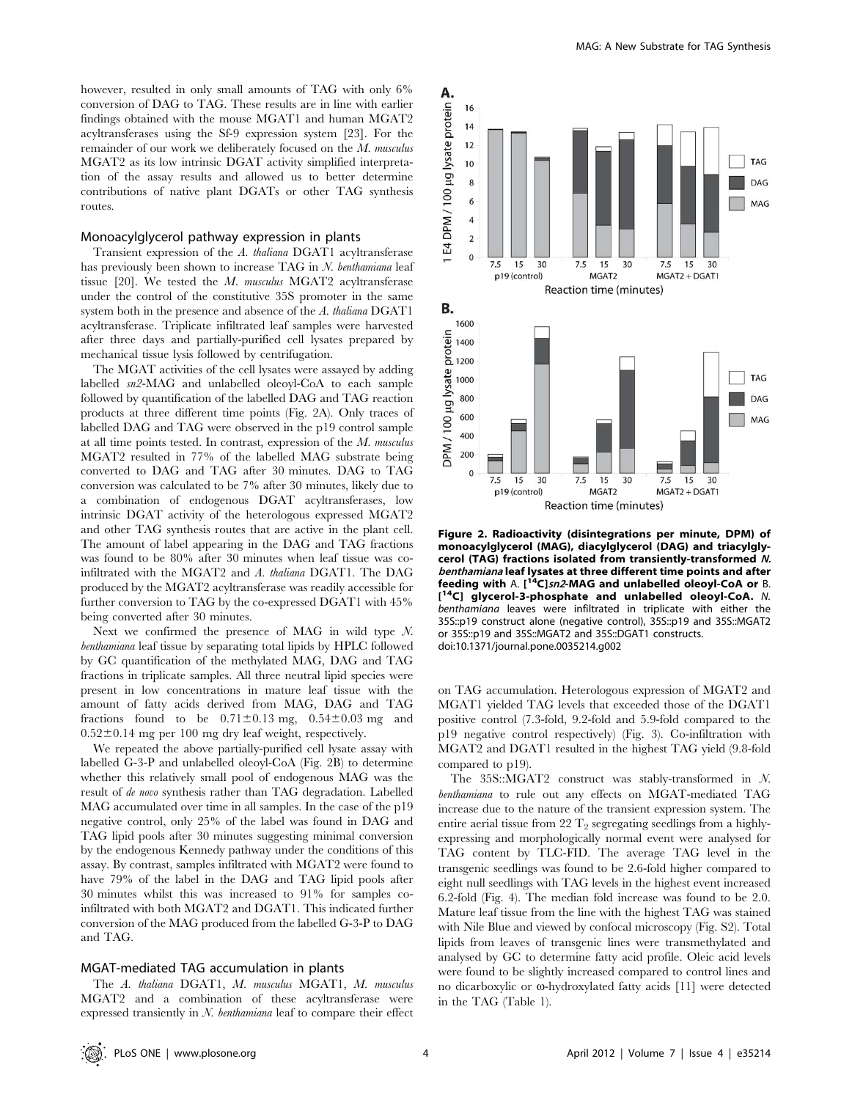however, resulted in only small amounts of TAG with only  $6\%$ conversion of DAG to TAG. These results are in line with earlier findings obtained with the mouse MGAT1 and human MGAT2 acyltransferases using the Sf-9 expression system [23]. For the remainder of our work we deliberately focused on the M. musculus MGAT2 as its low intrinsic DGAT activity simplified interpretation of the assay results and allowed us to better determine contributions of native plant DGATs or other TAG synthesis routes.

### Monoacylglycerol pathway expression in plants

Transient expression of the A. thaliana DGAT1 acyltransferase has previously been shown to increase TAG in N. benthamiana leaf tissue [20]. We tested the M. musculus MGAT2 acyltransferase under the control of the constitutive 35S promoter in the same system both in the presence and absence of the A. thaliana DGAT1 acyltransferase. Triplicate infiltrated leaf samples were harvested after three days and partially-purified cell lysates prepared by mechanical tissue lysis followed by centrifugation.

The MGAT activities of the cell lysates were assayed by adding labelled sn2-MAG and unlabelled oleoyl-CoA to each sample followed by quantification of the labelled DAG and TAG reaction products at three different time points (Fig. 2A). Only traces of labelled DAG and TAG were observed in the p19 control sample at all time points tested. In contrast, expression of the M. musculus MGAT2 resulted in 77% of the labelled MAG substrate being converted to DAG and TAG after 30 minutes. DAG to TAG conversion was calculated to be 7% after 30 minutes, likely due to a combination of endogenous DGAT acyltransferases, low intrinsic DGAT activity of the heterologous expressed MGAT2 and other TAG synthesis routes that are active in the plant cell. The amount of label appearing in the DAG and TAG fractions was found to be 80% after 30 minutes when leaf tissue was coinfiltrated with the MGAT2 and A. thaliana DGAT1. The DAG produced by the MGAT2 acyltransferase was readily accessible for further conversion to TAG by the co-expressed DGAT1 with 45% being converted after 30 minutes.

Next we confirmed the presence of MAG in wild type N. benthamiana leaf tissue by separating total lipids by HPLC followed by GC quantification of the methylated MAG, DAG and TAG fractions in triplicate samples. All three neutral lipid species were present in low concentrations in mature leaf tissue with the amount of fatty acids derived from MAG, DAG and TAG fractions found to be  $0.71 \pm 0.13$  mg,  $0.54 \pm 0.03$  mg and  $0.52\pm0.14$  mg per 100 mg dry leaf weight, respectively.

We repeated the above partially-purified cell lysate assay with labelled G-3-P and unlabelled oleoyl-CoA (Fig. 2B) to determine whether this relatively small pool of endogenous MAG was the result of de novo synthesis rather than TAG degradation. Labelled MAG accumulated over time in all samples. In the case of the p19 negative control, only 25% of the label was found in DAG and TAG lipid pools after 30 minutes suggesting minimal conversion by the endogenous Kennedy pathway under the conditions of this assay. By contrast, samples infiltrated with MGAT2 were found to have 79% of the label in the DAG and TAG lipid pools after 30 minutes whilst this was increased to 91% for samples coinfiltrated with both MGAT2 and DGAT1. This indicated further conversion of the MAG produced from the labelled G-3-P to DAG and TAG.

#### MGAT-mediated TAG accumulation in plants

The A. thaliana DGAT1, M. musculus MGAT1, M. musculus MGAT2 and a combination of these acyltransferase were expressed transiently in  $N$ . benthamiana leaf to compare their effect



Figure 2. Radioactivity (disintegrations per minute, DPM) of monoacylglycerol (MAG), diacylglycerol (DAG) and triacylglycerol (TAG) fractions isolated from transiently-transformed N. benthamiana leaf lysates at three different time points and after feeding with A. [<sup>14</sup>C]sn2-MAG and unlabelled oleoyl-CoA or B. [<sup>14</sup>C] glycerol-3-phosphate and unlabelled oleoyl-CoA. N. benthamiana leaves were infiltrated in triplicate with either the 35S::p19 construct alone (negative control), 35S::p19 and 35S::MGAT2 or 35S::p19 and 35S::MGAT2 and 35S::DGAT1 constructs. doi:10.1371/journal.pone.0035214.g002

on TAG accumulation. Heterologous expression of MGAT2 and MGAT1 yielded TAG levels that exceeded those of the DGAT1 positive control (7.3-fold, 9.2-fold and 5.9-fold compared to the p19 negative control respectively) (Fig. 3). Co-infiltration with MGAT2 and DGAT1 resulted in the highest TAG yield (9.8-fold compared to p19).

The 35S::MGAT2 construct was stably-transformed in N. benthamiana to rule out any effects on MGAT-mediated TAG increase due to the nature of the transient expression system. The entire aerial tissue from 22  $T_2$  segregating seedlings from a highlyexpressing and morphologically normal event were analysed for TAG content by TLC-FID. The average TAG level in the transgenic seedlings was found to be 2.6-fold higher compared to eight null seedlings with TAG levels in the highest event increased 6.2-fold (Fig. 4). The median fold increase was found to be 2.0. Mature leaf tissue from the line with the highest TAG was stained with Nile Blue and viewed by confocal microscopy (Fig. S2). Total lipids from leaves of transgenic lines were transmethylated and analysed by GC to determine fatty acid profile. Oleic acid levels were found to be slightly increased compared to control lines and no dicarboxylic or  $\omega$ -hydroxylated fatty acids [11] were detected in the TAG (Table 1).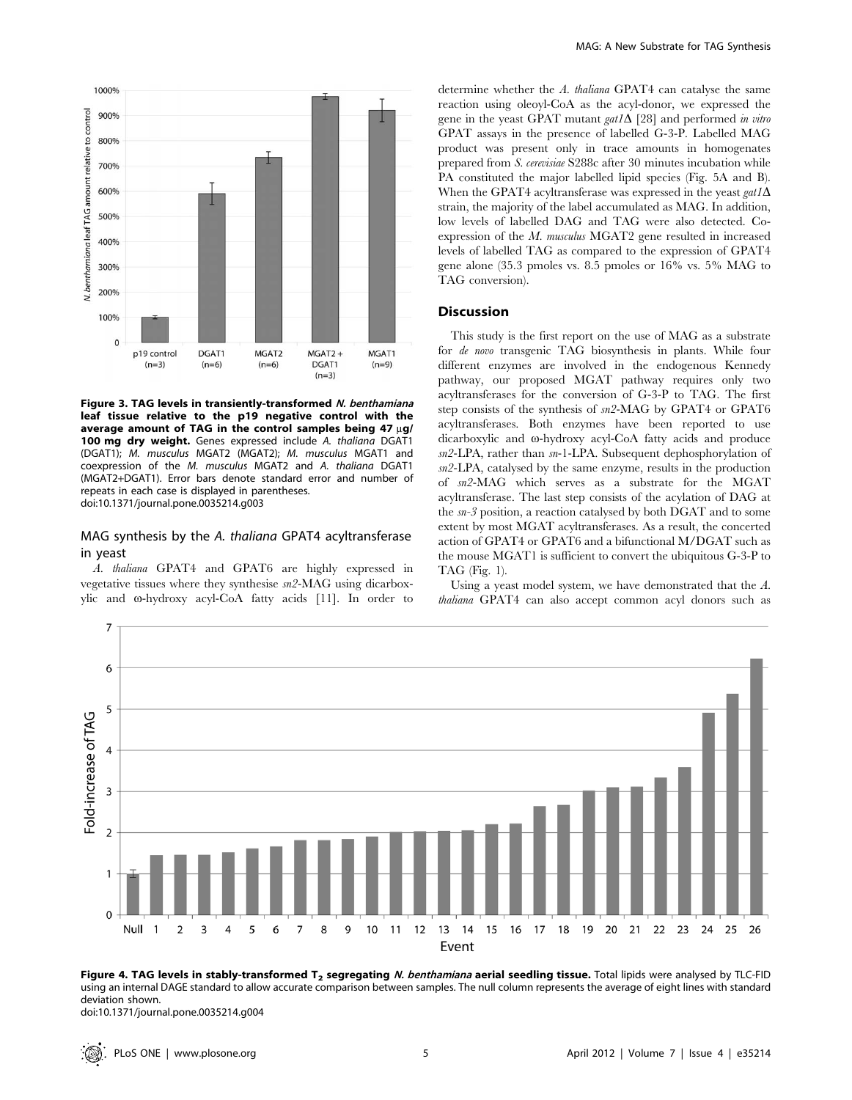

Figure 3. TAG levels in transiently-transformed N. benthamiana leaf tissue relative to the p19 negative control with the average amount of TAG in the control samples being 47  $\mu$ g/ 100 mg dry weight. Genes expressed include A. thaliana DGAT1 (DGAT1); M. musculus MGAT2 (MGAT2); M. musculus MGAT1 and coexpression of the M. musculus MGAT2 and A. thaliana DGAT1 (MGAT2+DGAT1). Error bars denote standard error and number of repeats in each case is displayed in parentheses. doi:10.1371/journal.pone.0035214.g003

# MAG synthesis by the A. thaliana GPAT4 acyltransferase in yeast

A. thaliana GPAT4 and GPAT6 are highly expressed in vegetative tissues where they synthesise sn2-MAG using dicarboxylic and  $\omega$ -hydroxy acyl-CoA fatty acids [11]. In order to determine whether the A. thaliana GPAT4 can catalyse the same reaction using oleoyl-CoA as the acyl-donor, we expressed the gene in the yeast GPAT mutant gat1 $\Delta$  [28] and performed in vitro GPAT assays in the presence of labelled G-3-P. Labelled MAG product was present only in trace amounts in homogenates prepared from S. cerevisiae S288c after 30 minutes incubation while PA constituted the major labelled lipid species (Fig. 5A and B). When the GPAT4 acyltransferase was expressed in the yeast  $gat1\Delta$ strain, the majority of the label accumulated as MAG. In addition, low levels of labelled DAG and TAG were also detected. Coexpression of the M. musculus MGAT2 gene resulted in increased levels of labelled TAG as compared to the expression of GPAT4 gene alone (35.3 pmoles vs. 8.5 pmoles or 16% vs. 5% MAG to TAG conversion).

## **Discussion**

This study is the first report on the use of MAG as a substrate for de novo transgenic TAG biosynthesis in plants. While four different enzymes are involved in the endogenous Kennedy pathway, our proposed MGAT pathway requires only two acyltransferases for the conversion of G-3-P to TAG. The first step consists of the synthesis of sn2-MAG by GPAT4 or GPAT6 acyltransferases. Both enzymes have been reported to use dicarboxylic and  $\omega$ -hydroxy acyl-CoA fatty acids and produce sn2-LPA, rather than sn-1-LPA. Subsequent dephosphorylation of sn2-LPA, catalysed by the same enzyme, results in the production of sn2-MAG which serves as a substrate for the MGAT acyltransferase. The last step consists of the acylation of DAG at the sn-3 position, a reaction catalysed by both DGAT and to some extent by most MGAT acyltransferases. As a result, the concerted action of GPAT4 or GPAT6 and a bifunctional M/DGAT such as the mouse MGAT1 is sufficient to convert the ubiquitous G-3-P to TAG (Fig. 1).

Using a yeast model system, we have demonstrated that the A. thaliana GPAT4 can also accept common acyl donors such as



Figure 4. TAG levels in stably-transformed  $T_2$  segregating N. benthamiana aerial seedling tissue. Total lipids were analysed by TLC-FID using an internal DAGE standard to allow accurate comparison between samples. The null column represents the average of eight lines with standard deviation shown.

doi:10.1371/journal.pone.0035214.g004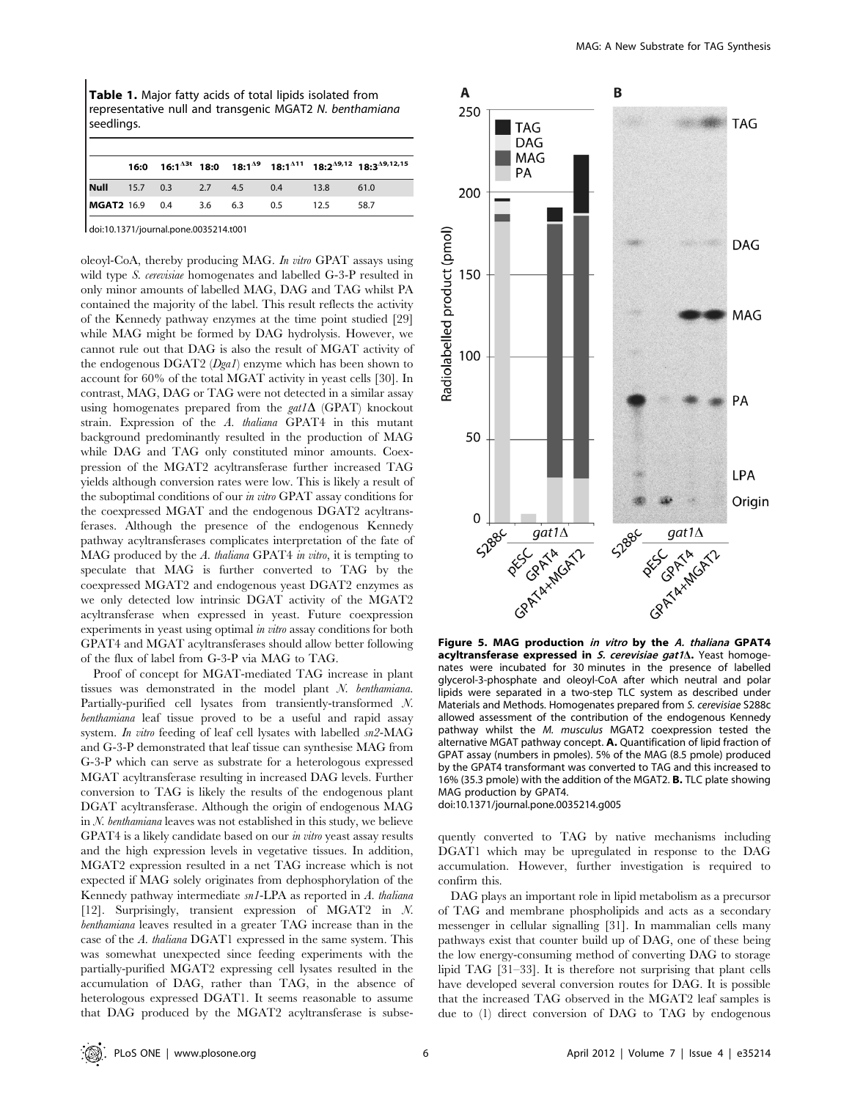Table 1. Major fatty acids of total lipids isolated from representative null and transgenic MGAT2 N. benthamiana seedlings.

|                              |  |  |     |      | 16:0 16:1 <sup>43t</sup> 18:0 18:1 <sup>49</sup> 18:1 <sup>411</sup> 18:2 <sup>49,12</sup> 18:3 <sup>49,12,15</sup> |
|------------------------------|--|--|-----|------|---------------------------------------------------------------------------------------------------------------------|
| <b>Null</b> 15.7 0.3 2.7 4.5 |  |  | 0.4 | 13.8 | 61.0                                                                                                                |
| MGAT2 16.9 0.4 3.6 6.3       |  |  | 0.5 | 12.5 | 58.7                                                                                                                |
|                              |  |  |     |      |                                                                                                                     |

doi:10.1371/journal.pone.0035214.t001

oleoyl-CoA, thereby producing MAG. In vitro GPAT assays using wild type *S. cerevisiae* homogenates and labelled G-3-P resulted in only minor amounts of labelled MAG, DAG and TAG whilst PA contained the majority of the label. This result reflects the activity of the Kennedy pathway enzymes at the time point studied [29] while MAG might be formed by DAG hydrolysis. However, we cannot rule out that DAG is also the result of MGAT activity of the endogenous DGAT2 (Dga1) enzyme which has been shown to account for 60% of the total MGAT activity in yeast cells [30]. In contrast, MAG, DAG or TAG were not detected in a similar assay using homogenates prepared from the  $gat1\Delta$  (GPAT) knockout strain. Expression of the A. thaliana GPAT4 in this mutant background predominantly resulted in the production of MAG while DAG and TAG only constituted minor amounts. Coexpression of the MGAT2 acyltransferase further increased TAG yields although conversion rates were low. This is likely a result of the suboptimal conditions of our in vitro GPAT assay conditions for the coexpressed MGAT and the endogenous DGAT2 acyltransferases. Although the presence of the endogenous Kennedy pathway acyltransferases complicates interpretation of the fate of MAG produced by the A. thaliana GPAT4 in vitro, it is tempting to speculate that MAG is further converted to TAG by the coexpressed MGAT2 and endogenous yeast DGAT2 enzymes as we only detected low intrinsic DGAT activity of the MGAT2 acyltransferase when expressed in yeast. Future coexpression experiments in yeast using optimal in vitro assay conditions for both GPAT4 and MGAT acyltransferases should allow better following of the flux of label from G-3-P via MAG to TAG.

Proof of concept for MGAT-mediated TAG increase in plant tissues was demonstrated in the model plant N. benthamiana. Partially-purified cell lysates from transiently-transformed N. benthamiana leaf tissue proved to be a useful and rapid assay system. In vitro feeding of leaf cell lysates with labelled  $sn2\text{-MAG}$ and G-3-P demonstrated that leaf tissue can synthesise MAG from G-3-P which can serve as substrate for a heterologous expressed MGAT acyltransferase resulting in increased DAG levels. Further conversion to TAG is likely the results of the endogenous plant DGAT acyltransferase. Although the origin of endogenous MAG in N. benthamiana leaves was not established in this study, we believe GPAT4 is a likely candidate based on our in vitro yeast assay results and the high expression levels in vegetative tissues. In addition, MGAT2 expression resulted in a net TAG increase which is not expected if MAG solely originates from dephosphorylation of the Kennedy pathway intermediate sn1-LPA as reported in A. thaliana [12]. Surprisingly, transient expression of MGAT2 in N. benthamiana leaves resulted in a greater TAG increase than in the case of the A. thaliana DGAT1 expressed in the same system. This was somewhat unexpected since feeding experiments with the partially-purified MGAT2 expressing cell lysates resulted in the accumulation of DAG, rather than TAG, in the absence of heterologous expressed DGAT1. It seems reasonable to assume that DAG produced by the MGAT2 acyltransferase is subse-



Figure 5. MAG production in vitro by the A. thaliana GPAT4 acyltransferase expressed in  $S$ . cerevisiae gat $1\Delta$ . Yeast homogenates were incubated for 30 minutes in the presence of labelled glycerol-3-phosphate and oleoyl-CoA after which neutral and polar lipids were separated in a two-step TLC system as described under Materials and Methods. Homogenates prepared from S. cerevisiae S288c allowed assessment of the contribution of the endogenous Kennedy pathway whilst the M. musculus MGAT2 coexpression tested the alternative MGAT pathway concept. A. Quantification of lipid fraction of GPAT assay (numbers in pmoles). 5% of the MAG (8.5 pmole) produced by the GPAT4 transformant was converted to TAG and this increased to 16% (35.3 pmole) with the addition of the MGAT2. B. TLC plate showing MAG production by GPAT4.

doi:10.1371/journal.pone.0035214.g005

quently converted to TAG by native mechanisms including DGAT1 which may be upregulated in response to the DAG accumulation. However, further investigation is required to confirm this.

DAG plays an important role in lipid metabolism as a precursor of TAG and membrane phospholipids and acts as a secondary messenger in cellular signalling [31]. In mammalian cells many pathways exist that counter build up of DAG, one of these being the low energy-consuming method of converting DAG to storage lipid TAG [31–33]. It is therefore not surprising that plant cells have developed several conversion routes for DAG. It is possible that the increased TAG observed in the MGAT2 leaf samples is due to (1) direct conversion of DAG to TAG by endogenous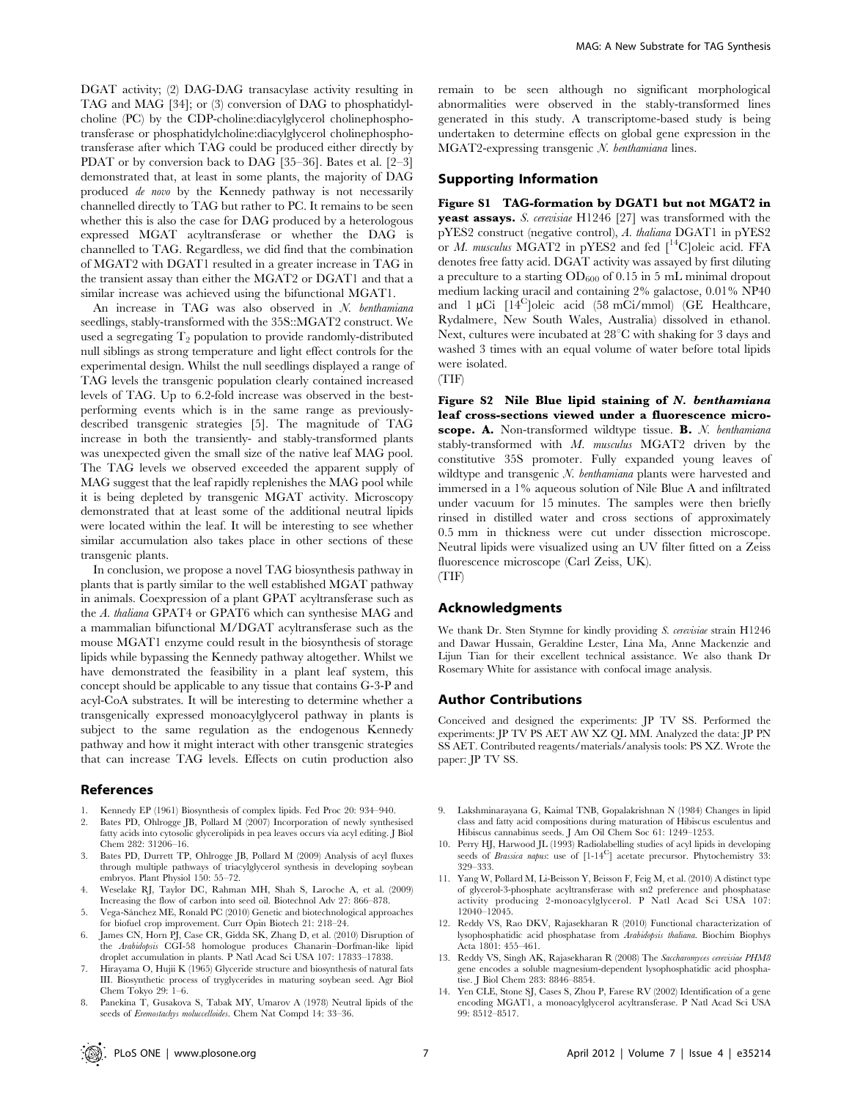DGAT activity; (2) DAG-DAG transacylase activity resulting in TAG and MAG [34]; or (3) conversion of DAG to phosphatidylcholine (PC) by the CDP-choline:diacylglycerol cholinephosphotransferase or phosphatidylcholine:diacylglycerol cholinephosphotransferase after which TAG could be produced either directly by PDAT or by conversion back to DAG [35–36]. Bates et al. [2–3] demonstrated that, at least in some plants, the majority of DAG produced de novo by the Kennedy pathway is not necessarily channelled directly to TAG but rather to PC. It remains to be seen whether this is also the case for DAG produced by a heterologous expressed MGAT acyltransferase or whether the DAG is channelled to TAG. Regardless, we did find that the combination of MGAT2 with DGAT1 resulted in a greater increase in TAG in the transient assay than either the MGAT2 or DGAT1 and that a similar increase was achieved using the bifunctional MGAT1.

An increase in TAG was also observed in N. benthamiana seedlings, stably-transformed with the 35S::MGAT2 construct. We used a segregating  $T_2$  population to provide randomly-distributed null siblings as strong temperature and light effect controls for the experimental design. Whilst the null seedlings displayed a range of TAG levels the transgenic population clearly contained increased levels of TAG. Up to 6.2-fold increase was observed in the bestperforming events which is in the same range as previouslydescribed transgenic strategies [5]. The magnitude of TAG increase in both the transiently- and stably-transformed plants was unexpected given the small size of the native leaf MAG pool. The TAG levels we observed exceeded the apparent supply of MAG suggest that the leaf rapidly replenishes the MAG pool while it is being depleted by transgenic MGAT activity. Microscopy demonstrated that at least some of the additional neutral lipids were located within the leaf. It will be interesting to see whether similar accumulation also takes place in other sections of these transgenic plants.

In conclusion, we propose a novel TAG biosynthesis pathway in plants that is partly similar to the well established MGAT pathway in animals. Coexpression of a plant GPAT acyltransferase such as the A. thaliana GPAT4 or GPAT6 which can synthesise MAG and a mammalian bifunctional M/DGAT acyltransferase such as the mouse MGAT1 enzyme could result in the biosynthesis of storage lipids while bypassing the Kennedy pathway altogether. Whilst we have demonstrated the feasibility in a plant leaf system, this concept should be applicable to any tissue that contains G-3-P and acyl-CoA substrates. It will be interesting to determine whether a transgenically expressed monoacylglycerol pathway in plants is subject to the same regulation as the endogenous Kennedy pathway and how it might interact with other transgenic strategies that can increase TAG levels. Effects on cutin production also

#### References

- 1. Kennedy EP (1961) Biosynthesis of complex lipids. Fed Proc 20: 934–940.
- 2. Bates PD, Ohlrogge JB, Pollard M (2007) Incorporation of newly synthesised fatty acids into cytosolic glycerolipids in pea leaves occurs via acyl editing. J Biol Chem 282: 31206–16.
- 3. Bates PD, Durrett TP, Ohlrogge JB, Pollard M (2009) Analysis of acyl fluxes through multiple pathways of triacylglycerol synthesis in developing soybean embryos. Plant Physiol 150: 55–72.
- 4. Weselake RJ, Taylor DC, Rahman MH, Shah S, Laroche A, et al. (2009) Increasing the flow of carbon into seed oil. Biotechnol Adv 27: 866–878.
- 5. Vega-Sa´nchez ME, Ronald PC (2010) Genetic and biotechnological approaches for biofuel crop improvement. Curr Opin Biotech 21: 218–24.
- 6. James CN, Horn PJ, Case CR, Gidda SK, Zhang D, et al. (2010) Disruption of the Arabidopsis CGI-58 homologue produces Chanarin–Dorfman-like lipid<br>droplet accumulation in plants. P Natl Acad Sci USA 107: 17833–17838.
- 7. Hirayama O, Hujii K (1965) Glyceride structure and biosynthesis of natural fats III. Biosynthetic process of tryglycerides in maturing soybean seed. Agr Biol Chem Tokyo 29: 1–6.
- 8. Panekina T, Gusakova S, Tabak MY, Umarov A (1978) Neutral lipids of the seeds of Eremostachys moluccelloides. Chem Nat Compd 14: 33–36.

remain to be seen although no significant morphological abnormalities were observed in the stably-transformed lines generated in this study. A transcriptome-based study is being undertaken to determine effects on global gene expression in the MGAT2-expressing transgenic N. benthamiana lines.

# Supporting Information

Figure S1 TAG-formation by DGAT1 but not MGAT2 in yeast assays. S. cerevisiae H1246 [27] was transformed with the pYES2 construct (negative control), A. thaliana DGAT1 in pYES2 or M. musculus MGAT2 in pYES2 and fed  $\int^{14}C$ oleic acid. FFA denotes free fatty acid. DGAT activity was assayed by first diluting a preculture to a starting  $OD_{600}$  of 0.15 in 5 mL minimal dropout medium lacking uracil and containing 2% galactose, 0.01% NP40 and  $1 \mu$ Ci  $[14^{\circ}$ ]oleic acid (58 mCi/mmol) (GE Healthcare, Rydalmere, New South Wales, Australia) dissolved in ethanol. Next, cultures were incubated at  $28^{\circ}$ C with shaking for 3 days and washed 3 times with an equal volume of water before total lipids were isolated.

(TIF)

Figure S2 Nile Blue lipid staining of N. benthamiana leaf cross-sections viewed under a fluorescence microscope. A. Non-transformed wildtype tissue. B. N. benthamiana stably-transformed with M. musculus MGAT2 driven by the constitutive 35S promoter. Fully expanded young leaves of wildtype and transgenic N. benthamiana plants were harvested and immersed in a 1% aqueous solution of Nile Blue A and infiltrated under vacuum for 15 minutes. The samples were then briefly rinsed in distilled water and cross sections of approximately 0.5 mm in thickness were cut under dissection microscope. Neutral lipids were visualized using an UV filter fitted on a Zeiss fluorescence microscope (Carl Zeiss, UK). (TIF)

# Acknowledgments

We thank Dr. Sten Stymne for kindly providing S. cerevisiae strain H1246 and Dawar Hussain, Geraldine Lester, Lina Ma, Anne Mackenzie and Lijun Tian for their excellent technical assistance. We also thank Dr Rosemary White for assistance with confocal image analysis.

#### Author Contributions

Conceived and designed the experiments: JP TV SS. Performed the experiments: JP TV PS AET AW XZ QL MM. Analyzed the data: JP PN SS AET. Contributed reagents/materials/analysis tools: PS XZ. Wrote the paper: JP TV SS.

- 9. Lakshminarayana G, Kaimal TNB, Gopalakrishnan N (1984) Changes in lipid class and fatty acid compositions during maturation of Hibiscus esculentus and Hibiscus cannabinus seeds. J Am Oil Chem Soc 61: 1249–1253.
- 10. Perry HJ, Harwood JL (1993) Radiolabelling studies of acyl lipids in developing seeds of *Brassica napus*: use of  $[1-14^C]$  acetate precursor. Phytochemistry 33: 329–333.
- 11. Yang W, Pollard M, Li-Beisson Y, Beisson F, Feig M, et al. (2010) A distinct type of glycerol-3-phosphate acyltransferase with sn2 preference and phosphatas activity producing 2-monoacylglycerol. P Natl Acad Sci USA 107: 12040–12045.
- 12. Reddy VS, Rao DKV, Rajasekharan R (2010) Functional characterization of lysophosphatidic acid phosphatase from Arabidopsis thaliana. Biochim Biophys Acta 1801: 455–461.
- 13. Reddy VS, Singh AK, Rajasekharan R (2008) The Saccharomyces cerevisiae PHM8 gene encodes a soluble magnesium-dependent lysophosphatidic acid phosphatise. J Biol Chem 283: 8846–8854.
- 14. Yen CLE, Stone SJ, Cases S, Zhou P, Farese RV (2002) Identification of a gene encoding MGAT1, a monoacylglycerol acyltransferase. P Natl Acad Sci USA 99: 8512–8517.